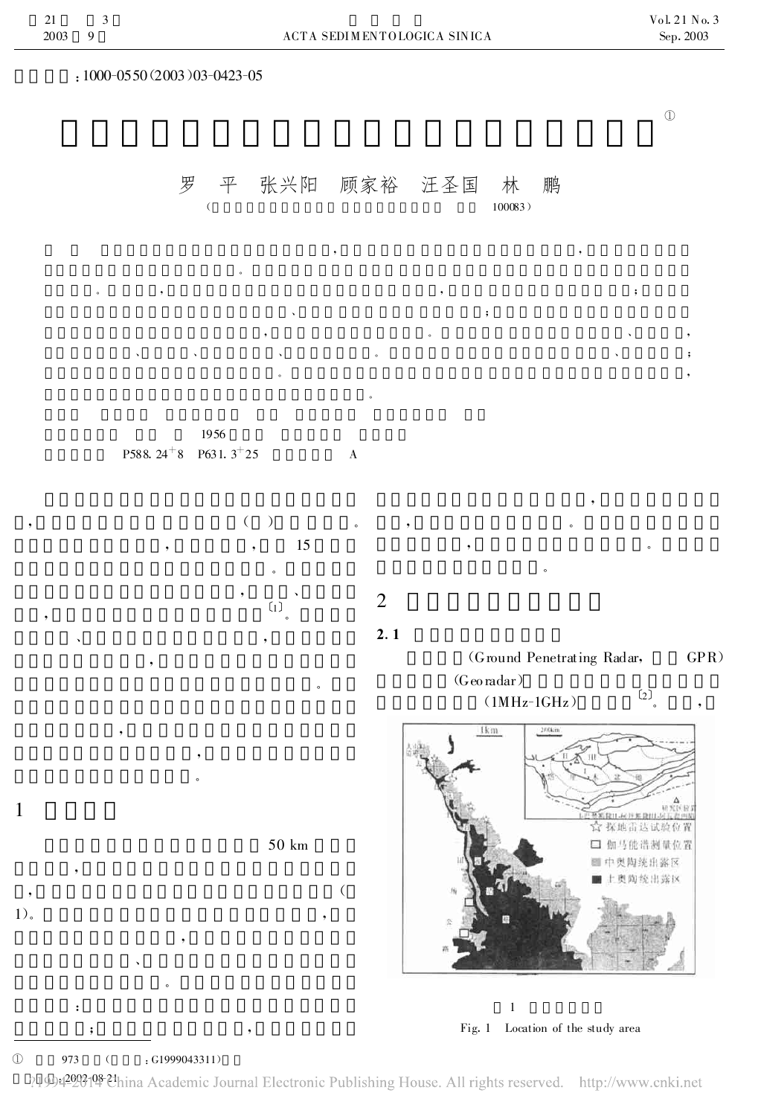1

:1000-0550(2003)03-0423-05

罗 平 张兴阳 顾家裕 汪圣国 林 鹏  $(100083)$ 

 $\textcircled{1}$ 

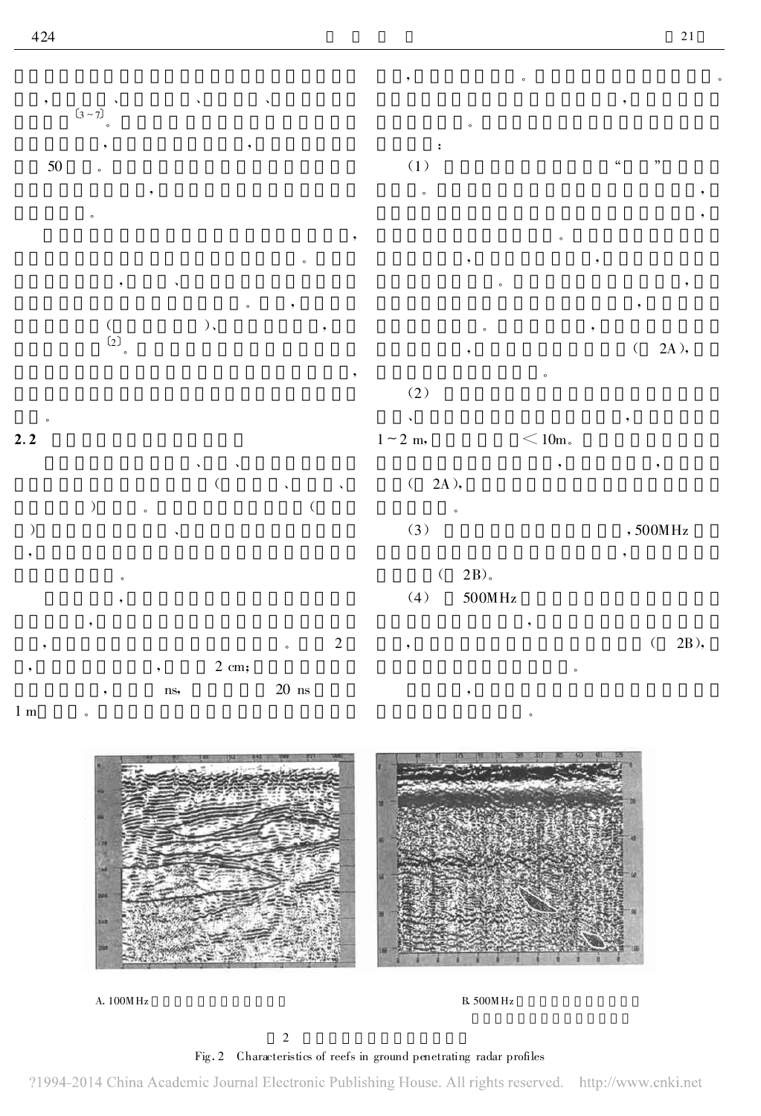

, 。 。





A.  $100M$  Hz B.  $500M$  Hz

## Fig .2 Characteristics of reefs in ground penetrating radar profiles

?1994-2014 China Academic Journal Electronic Publishing House. All rights reserved. http://www.cnki.net

2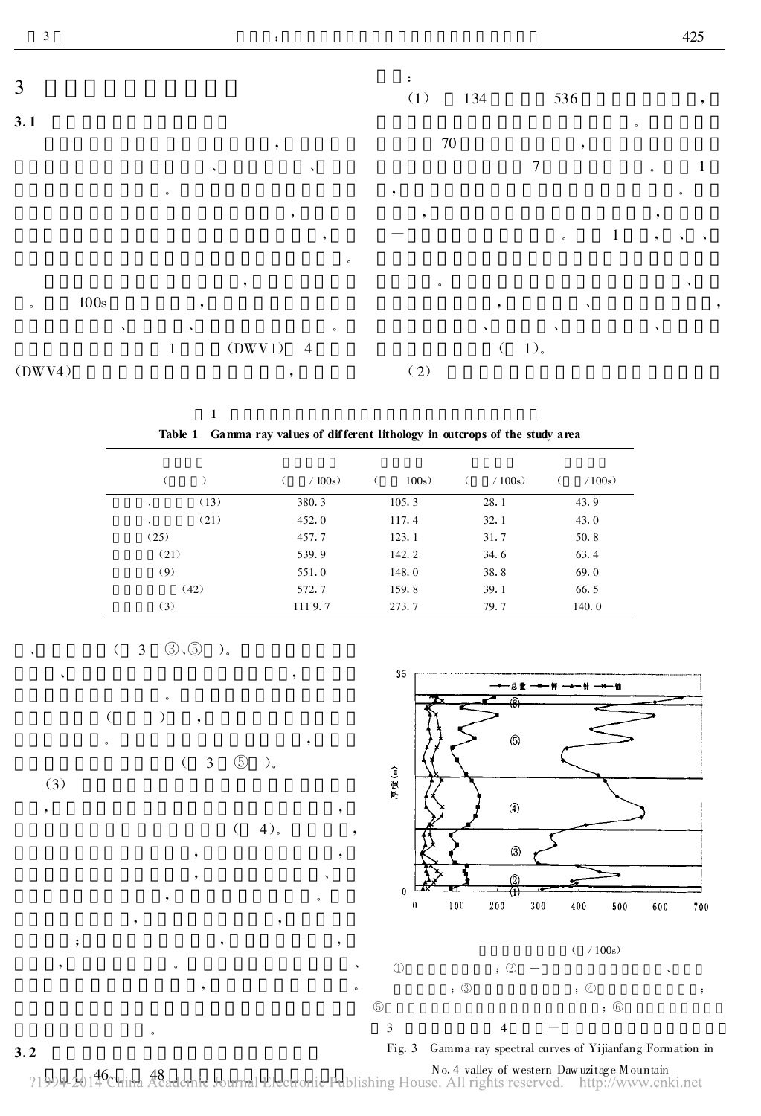

| Table 1 Gamma ray values of different lithology in outcrops of the study area |        |       |        |        |
|-------------------------------------------------------------------------------|--------|-------|--------|--------|
|                                                                               | /100s) | 100s  | /100s) | /100s) |
| (13)<br>$\lambda$                                                             | 380.3  | 105.3 | 28.1   | 43.9   |
| (21)<br>$\checkmark$                                                          | 452.0  | 117.4 | 32.1   | 43.0   |
| (25)                                                                          | 457.7  | 123.1 | 31.7   | 50.8   |
| (21)                                                                          | 539.9  | 142.2 | 34.6   | 63.4   |
| (9)                                                                           | 551.0  | 148.0 | 38.8   | 69.0   |
| (42)                                                                          | 572.7  | 159.8 | 39.1   | 66.5   |
| (3)                                                                           | 1119.7 | 273.7 | 79.7   | 140.0  |





(3)

( 3 ⑤ )。

, , ; , , , where  $\alpha$  is a set of  $\alpha$  is a set of  $\alpha$ 

。

1



, , , where  $\alpha$  is a set of  $\alpha$  , where  $\alpha$  $\sim$ 

, where  $\mathbf{r}$  is the set of  $\mathbf{r}$  is the set of  $\mathbf{r}$ 



 $3.2$ 46 、 48 No.4 valley of western Daw uzitag e Mountain Fig.3 Gamma-ray spectral curves of Yijianfang Formation in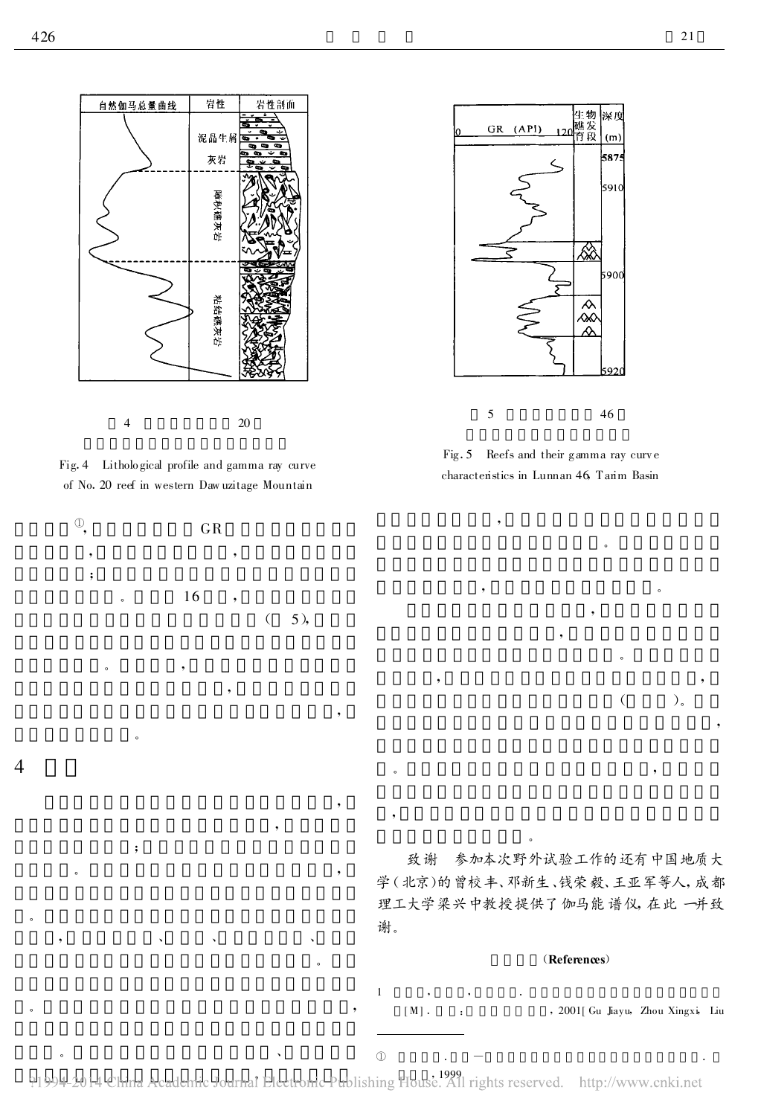





 $\overline{\phantom{a}}$ 

。

;

。 ,

, where  $\mathcal{A} = \mathcal{A}$  , where  $\mathcal{A} = \mathcal{A}$  , where  $\mathcal{A} = \mathcal{A}$ 

, where  $\alpha$  , we have the set of  $\alpha$  ,  $\alpha$ 

。 、

4

。



Fig. 5 Reefs and their gamma ray curve characteristics in Lunnan 46, Tarim Basin

。

。

 $($ ).

, where  $\mathbf{r}$  is the set of  $\mathbf{r}$  is the set of  $\mathbf{r}$  is the set of  $\mathbf{r}$ 

, ,

致谢 参加本次野外试验工作的还有中国地质大 学(北京)的曾校丰、邓新生、钱荣毅、王亚军等人,成都 理工大学梁兴中教授提供了伽马能谱仪, 在此一并致 谢。

 $\overline{\phantom{a}}$ 

。

(References)

1 , , . [M] . : , 2001 [Gu Jiayu, Zhou Xingxi, Liu

 $\mathbb D$  .  $-$  .  $\blacksquare$ 

, 1999

。